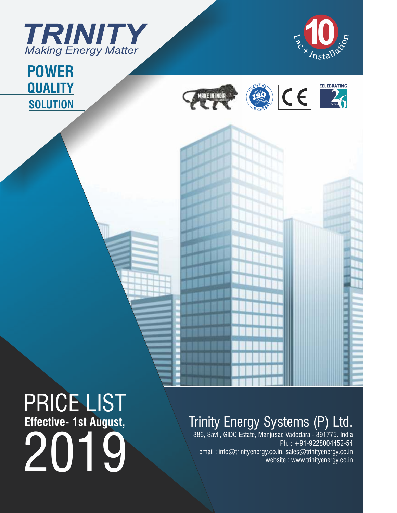



Years

**CELEBRATING** 

## **QUALITY SOLUTION POWER**



SERTIFIED

MAKE IN INDIA

 $C \in$ 

# PRICE LIST **Effective- 1st August,** 2019

## Trinity Energy Systems (P) Ltd.

386, Savli, GIDC Estate, Manjusar, Vadodara - 391775. India Ph. : +91-9228004452-54 email : info@trinityenergy.co.in, sales@trinityenergy.co.in website : www.trinityenergy.co.in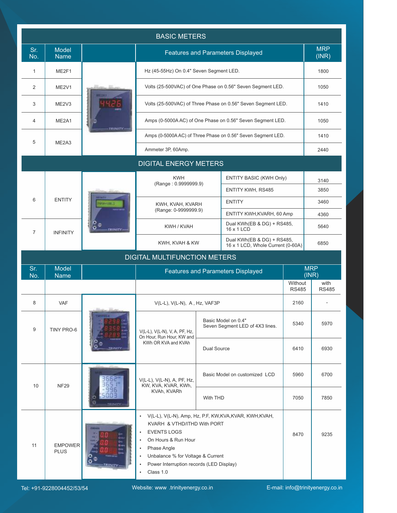|                |                                |                | <b>BASIC METERS</b>                                                                                                                                                                                                                             |                    |                                                                 |                         |                      |
|----------------|--------------------------------|----------------|-------------------------------------------------------------------------------------------------------------------------------------------------------------------------------------------------------------------------------------------------|--------------------|-----------------------------------------------------------------|-------------------------|----------------------|
| Sr.<br>No.     | <b>Model</b><br><b>Name</b>    |                |                                                                                                                                                                                                                                                 |                    | <b>Features and Parameters Displayed</b>                        |                         | <b>MRP</b><br>(INR)  |
| $\mathbf{1}$   | ME2F1                          |                | Hz (45-55Hz) On 0.4" Seven Segment LED.                                                                                                                                                                                                         |                    |                                                                 |                         | 1800                 |
| $\overline{2}$ | ME2V1                          |                | Volts (25-500VAC) of One Phase on 0.56" Seven Segment LED.                                                                                                                                                                                      |                    | 1050                                                            |                         |                      |
| 3              | ME2V3                          |                |                                                                                                                                                                                                                                                 |                    | Volts (25-500VAC) of Three Phase on 0.56" Seven Segment LED.    |                         | 1410                 |
| $\overline{4}$ | ME2A1                          |                |                                                                                                                                                                                                                                                 |                    | Amps (0-5000AAC) of One Phase on 0.56" Seven Segment LED.       |                         | 1050                 |
| 5              | ME <sub>2</sub> A <sub>3</sub> | TRINITY        |                                                                                                                                                                                                                                                 |                    | Amps (0-5000AAC) of Three Phase on 0.56" Seven Segment LED.     |                         | 1410                 |
|                |                                |                | Ammeter 3P, 60Amp.                                                                                                                                                                                                                              |                    |                                                                 |                         | 2440                 |
|                |                                |                | <b>DIGITAL ENERGY METERS</b>                                                                                                                                                                                                                    |                    |                                                                 |                         |                      |
|                |                                |                | <b>KWH</b><br>(Range: 0.9999999.9)                                                                                                                                                                                                              |                    | ENTITY BASIC (KWH Only)                                         |                         | 3140                 |
|                |                                |                |                                                                                                                                                                                                                                                 |                    | <b>ENTITY KWH, RS485</b>                                        |                         | 3850                 |
| 6              | <b>ENTITY</b>                  |                | KWH, KVAH, KVARH                                                                                                                                                                                                                                |                    | <b>ENTITY</b>                                                   |                         | 3460                 |
|                |                                |                | (Range: 0-9999999.9)                                                                                                                                                                                                                            |                    | ENTITY KWH, KVARH, 60 Amp                                       |                         | 4360                 |
| $\overline{7}$ | <b>INFINITY</b>                | <b>TRINITY</b> | KWH / KVAH                                                                                                                                                                                                                                      |                    | Dual KWh(EB & DG) + RS485,<br>16 x 1 LCD                        |                         | 5640                 |
|                |                                |                | KWH, KVAH & KW                                                                                                                                                                                                                                  |                    | Dual KWh(EB & DG) + RS485,<br>16 x 1 LCD, Whole Current (0-60A) |                         | 6850                 |
|                |                                |                | <b>DIGITAL MULTIFUNCTION METERS</b>                                                                                                                                                                                                             |                    |                                                                 |                         |                      |
| Sr.<br>No.     | <b>Model</b><br><b>Name</b>    |                |                                                                                                                                                                                                                                                 |                    | <b>Features and Parameters Displayed</b>                        |                         | <b>MRP</b><br>(INR)  |
|                |                                |                |                                                                                                                                                                                                                                                 |                    |                                                                 | Without<br><b>RS485</b> | with<br><b>RS485</b> |
| 8              | <b>VAF</b>                     |                | $V(L-L)$ , $V(L-N)$ , A, Hz, VAF3P                                                                                                                                                                                                              |                    |                                                                 | 2160                    |                      |
| 9              | <b>TINY PRO-6</b>              |                | V(L-L), V(L-N), V, A, PF, Hz,<br>On Hour, Run Hour, KW and                                                                                                                                                                                      |                    | Basic Model on 0.4"<br>Seven Segment LED of 4X3 lines.          | 5340                    | 5970                 |
|                |                                | <b>RINIT</b>   | KWh OR KVA and KVAh                                                                                                                                                                                                                             | <b>Dual Source</b> |                                                                 | 6410                    | 6930                 |
| 10             | <b>NF29</b>                    |                | V(L-L), V(L-N), A, PF, Hz,<br>KW, KVA, KVAR, KWh,                                                                                                                                                                                               |                    | Basic Model on customized LCD                                   | 5960                    | 6700                 |
|                |                                |                | KVAh, KVARh                                                                                                                                                                                                                                     | With THD           |                                                                 | 7050                    | 7850                 |
| 11             | <b>EMPOWER</b><br><b>PLUS</b>  | RINITY         | · V(L-L), V(L-N), Amp, Hz, P.F, KW,KVA,KVAR, KWH,KVAH,<br>KVARH & VTHD/ITHD With PORT<br><b>EVENTS LOGS</b><br>On Hours & Run Hour<br>Phase Angle<br>Unbalance % for Voltage & Current<br>Power Interruption records (LED Display)<br>Class 1.0 |                    |                                                                 | 8470                    | 9235                 |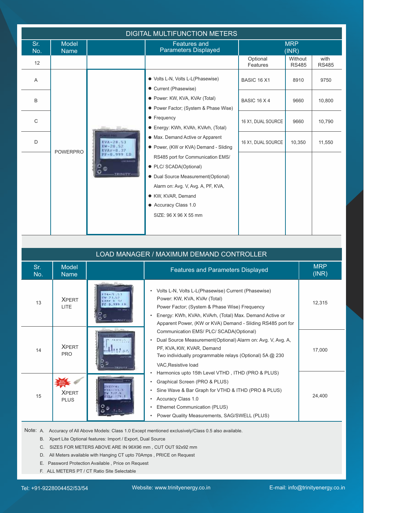|            |                             |                                | <b>DIGITAL MULTIFUNCTION METERS</b>                                                                                                                                                                           |                      |                         |                      |
|------------|-----------------------------|--------------------------------|---------------------------------------------------------------------------------------------------------------------------------------------------------------------------------------------------------------|----------------------|-------------------------|----------------------|
| Sr.<br>No. | <b>Model</b><br><b>Name</b> |                                | <b>Features and</b><br><b>Parameters Displayed</b>                                                                                                                                                            |                      | <b>MRP</b><br>(INR)     |                      |
| 12         |                             |                                |                                                                                                                                                                                                               | Optional<br>Features | Without<br><b>RS485</b> | with<br><b>RS485</b> |
| A          |                             |                                | ● Volts L-N, Volts L-L(Phasewise)<br>• Current (Phasewise)                                                                                                                                                    | <b>BASIC 16 X1</b>   | 8910                    | 9750                 |
| B          |                             |                                | • Power: KW, KVA, KVAr (Total)<br>• Power Factor; (System & Phase Wise)                                                                                                                                       | <b>BASIC 16 X 4</b>  | 9660                    | 10,800               |
| C          |                             |                                | • Frequency<br>• Energy: KWh, KVAh, KVArh, (Total)                                                                                                                                                            | 16 X1, DUAL SOURCE   | 9660                    | 10,790               |
| D          |                             |                                | • Max. Demand Active or Apparent<br>• Power, (KW or KVA) Demand - Sliding                                                                                                                                     | 16 X1, DUAL SOURCE   | 10,350                  | 11,550               |
|            | <b>POWERPRO</b>             | <b>CALL MARAGER</b><br>TRINITY | RS485 port for Communication EMS/<br>• PLC/ SCADA(Optional)<br>• Dual Source Measurement(Optional)<br>Alarm on: Avg. V, Avg. A, PF, KVA,<br>KW, KVAR, Demand<br>• Accuracy Class 1.0<br>SIZE: 96 X 96 X 55 mm |                      |                         |                      |

|            |                             |                 | LOAD MANAGER / MAXIMUM DEMAND CONTROLLER                                                                                                                                                                                                                                    |                     |
|------------|-----------------------------|-----------------|-----------------------------------------------------------------------------------------------------------------------------------------------------------------------------------------------------------------------------------------------------------------------------|---------------------|
| Sr.<br>No. | <b>Model</b><br><b>Name</b> |                 | <b>Features and Parameters Displayed</b>                                                                                                                                                                                                                                    | <b>MRP</b><br>(INR) |
| 13         | <b>XPFRT</b><br><b>LITE</b> |                 | Volts L-N, Volts L-L(Phasewise) Current (Phasewise)<br>$\bullet$<br>Power: KW, KVA, KVAr (Total)<br>Power Factor; (System & Phase Wise) Frequency<br>Energy: KWh, KVAh, KVArh, (Total) Max. Demand Active or<br>Apparent Power, (KW or KVA) Demand - Sliding RS485 port for | 12,315              |
| 14         | <b>XPFRT</b><br><b>PRO</b>  |                 | Communication EMS/ PLC/ SCADA(Optional)<br>Dual Source Measurement (Optional) Alarm on: Avg. V, Avg. A,<br>PF, KVA, KW, KVAR, Demand<br>Two individually programmable relays (Optional) 5A @ 230<br>VAC, Resistive load                                                     | 17.000              |
| 15         | <b>XPFRT</b><br><b>PLUS</b> | <b>PERMITTE</b> | Harmonics upto 15th Level VTHD, ITHD (PRO & PLUS)<br>Graphical Screen (PRO & PLUS)<br>Sine Wave & Bar Graph for VTHD & ITHD (PRO & PLUS)<br>٠<br><b>Accuracy Class 1.0</b><br>٠<br>Ethernet Communication (PLUS)<br>Power Quality Measurements, SAG/SWELL (PLUS)<br>٠       | 24.400              |

Note: A. Accuracy of All Above Models: Class 1.0 Except mentioned exclusively/Class 0.5 also available.

- B. Xpert Lite Optional features: Import / Export, Dual Source
- C. SIZES FOR METERS ABOVE ARE IN 96X96 mm , CUT OUT 92x92 mm
- D. All Meters available with Hanging CT upto 70Amps , PRICE on Request
- E. Password Protection Available , Price on Request
- F. ALL METERS PT / CT Ratio Site Selectable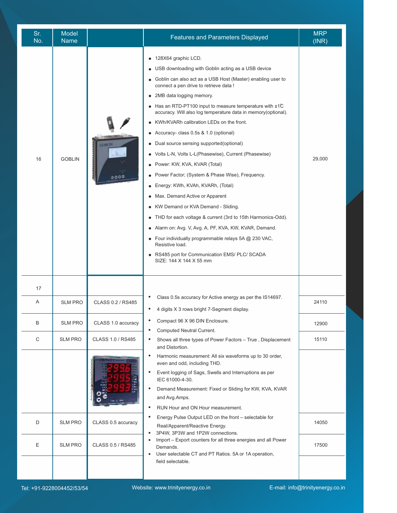| Sr.<br>No. | Model<br><b>Name</b> |                    | <b>Features and Parameters Displayed</b>                                                                                                                                                                                                                                                                                                                                                                                                                                                                                                                                                                                                                                                                                                                                                                                                                                                                                                                                                                                                                                         | <b>MRP</b><br>(INR) |
|------------|----------------------|--------------------|----------------------------------------------------------------------------------------------------------------------------------------------------------------------------------------------------------------------------------------------------------------------------------------------------------------------------------------------------------------------------------------------------------------------------------------------------------------------------------------------------------------------------------------------------------------------------------------------------------------------------------------------------------------------------------------------------------------------------------------------------------------------------------------------------------------------------------------------------------------------------------------------------------------------------------------------------------------------------------------------------------------------------------------------------------------------------------|---------------------|
| 16         | <b>GOBLIN</b>        | 6000               | 128X64 graphic LCD.<br>$\bullet$<br>USB downloading with Goblin acting as a USB device<br>Goblin can also act as a USB Host (Master) enabling user to<br>connect a pen drive to retrieve data !<br>2MB data logging memory.<br>Has an RTD-PT100 input to measure temperature with ±1°C<br>accuracy. Will also log temperature data in memory(optional).<br>KWh/KVARh calibration LEDs on the front.<br>Accuracy- class 0.5s & 1.0 (optional)<br>Dual source sensing supported(optional)<br>Volts L-N, Volts L-L(Phasewise), Current (Phasewise)<br>Power: KW, KVA, KVAR (Total)<br>Power Factor; (System & Phase Wise), Frequency.<br>$\bullet$<br>Energy: KWh, KVAh, KVARh, (Total)<br>Max. Demand Active or Apparent<br>KW Demand or KVA Demand - Sliding.<br>$\bullet$<br>THD for each voltage & current (3rd to 15th Harmonics-Odd).<br>Alarm on: Avg. V, Avg. A, PF, KVA, KW, KVAR, Demand.<br>• Four individually programmable relays $5A \textcircled{2} 230 \text{ VAC}$ ,<br>Resistive load.<br>RS485 port for Communication EMS/ PLC/ SCADA<br>SIZE: 144 X 144 X 55 mm | 29,000              |
| 17         |                      |                    | Class 0.5s accuracy for Active energy as per the IS14697.                                                                                                                                                                                                                                                                                                                                                                                                                                                                                                                                                                                                                                                                                                                                                                                                                                                                                                                                                                                                                        |                     |
| Α          | <b>SLM PRO</b>       | CLASS 0.2 / RS485  | 4 digits X 3 rows bright 7-Segment display.                                                                                                                                                                                                                                                                                                                                                                                                                                                                                                                                                                                                                                                                                                                                                                                                                                                                                                                                                                                                                                      | 24110               |
| B          | <b>SLM PRO</b>       | CLASS 1.0 accuracy | Compact 96 X 96 DIN Enclosure.<br>$\bullet$<br>Computed Neutral Current.                                                                                                                                                                                                                                                                                                                                                                                                                                                                                                                                                                                                                                                                                                                                                                                                                                                                                                                                                                                                         | 12900               |
| C          | <b>SLM PRO</b>       | CLASS 1.0 / RS485  | Shows all three types of Power Factors - True, Displacement<br>and Distortion.                                                                                                                                                                                                                                                                                                                                                                                                                                                                                                                                                                                                                                                                                                                                                                                                                                                                                                                                                                                                   | 15110               |
|            |                      |                    | Harmonic measurement: All six waveforms up to 30 order,<br>even and odd, including THD.<br>Event logging of Sags, Swells and Interruptions as per<br>IEC 61000-4-30.<br>Demand Measurement: Fixed or Sliding for KW, KVA, KVAR<br>and Avg.Amps.<br>RUN Hour and ON Hour measurement.                                                                                                                                                                                                                                                                                                                                                                                                                                                                                                                                                                                                                                                                                                                                                                                             |                     |
| D          | <b>SLM PRO</b>       | CLASS 0.5 accuracy | Energy Pulse Output LED on the front - selectable for<br>Real/Apparent/Reactive Energy.<br>3P4W, 3P3W and 1P2W connections.                                                                                                                                                                                                                                                                                                                                                                                                                                                                                                                                                                                                                                                                                                                                                                                                                                                                                                                                                      | 14050               |
| Ε          | <b>SLM PRO</b>       | CLASS 0.5 / RS485  | Import - Export counters for all three energies and all Power<br>Demands.<br>User selectable CT and PT Ratios. 5A or 1A operation,                                                                                                                                                                                                                                                                                                                                                                                                                                                                                                                                                                                                                                                                                                                                                                                                                                                                                                                                               | 17500               |
|            |                      |                    | field selectable.                                                                                                                                                                                                                                                                                                                                                                                                                                                                                                                                                                                                                                                                                                                                                                                                                                                                                                                                                                                                                                                                |                     |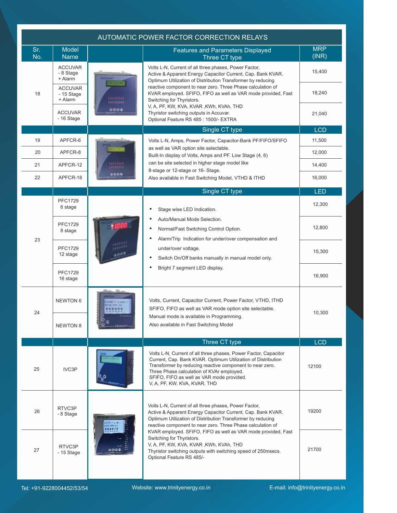|            |                                         |                                  | AUTOMATIC POWER FACTOR CORRECTION RELAYS                                                                                                                                                                                                                                                                              |                     |
|------------|-----------------------------------------|----------------------------------|-----------------------------------------------------------------------------------------------------------------------------------------------------------------------------------------------------------------------------------------------------------------------------------------------------------------------|---------------------|
| Sr.<br>No. | Model<br><b>Name</b>                    |                                  | <b>Features and Parameters Displayed</b><br>Three CT type                                                                                                                                                                                                                                                             | <b>MRP</b><br>(INR) |
|            | <b>ACCUVAR</b><br>- 8 Stage<br>+ Alarm  |                                  | Volts L-N, Current of all three phases, Power Factor,<br>Active & Apparent Energy Capacitor Current, Cap. Bank KVAR.<br>Optimum Utilization of Distribution Transformer by reducing                                                                                                                                   | 15,400              |
| 18         | <b>ACCUVAR</b><br>- 15 Stage<br>+ Alarm | <br>reistur                      | reactive component to near zero. Three Phase calculation of<br>KVAR employed. SFIFO, FIFO as well as VAR mode provided, Fast<br>Switching for Thyristors.                                                                                                                                                             | 18,240              |
|            | <b>ACCUVAR</b><br>$-16$ Stage           | 0000                             | V, A, PF, KW, KVA, KVAR, KWh, KVAh, THD<br>Thyristor switching outputs in Accuvar.<br>Optional Feature RS 485 : 1500/- EXTRA                                                                                                                                                                                          | 21,040              |
|            |                                         |                                  | Single CT type                                                                                                                                                                                                                                                                                                        | <b>LCD</b>          |
| 19         | APFCR-6                                 |                                  | Volts L-N, Amps, Power Factor, Capacitor-Bank PF/FIFO/SFIFO                                                                                                                                                                                                                                                           | 11,500              |
| 20         | APFCR-8                                 |                                  | as well as VAR option site selectable.<br>Built-In display of Volts, Amps and PF. Low Stage (4, 6)                                                                                                                                                                                                                    | 12,000              |
| 21         | APFCR-12                                | <b>GELLER</b><br><b>STEETTA</b>  | can be site selected in higher stage model like                                                                                                                                                                                                                                                                       | 14,400              |
| 22         | APFCR-16                                | 6006                             | 8-stage or 12-stage or 16- Stage.<br>Also available in Fast Switching Model, VTHD & ITHD                                                                                                                                                                                                                              | 16,000              |
|            |                                         |                                  | Single CT type                                                                                                                                                                                                                                                                                                        | <b>LED</b>          |
|            | <b>PFC1729</b><br>6 stage               |                                  | Stage wise LED Indication.                                                                                                                                                                                                                                                                                            | 12,300              |
|            | <b>PFC1729</b><br>8 stage               |                                  | Auto/Manual Mode Selection.<br>Normal/Fast Switching Control Option.<br>Alarm/Trip Indication for under/over compensation and                                                                                                                                                                                         | 12,800              |
| 23         | <b>PFC1729</b><br>12 stage              | <b>HAAAAA</b><br>11011<br>0005   | under/over voltage.<br>Switch On/Off banks manually in manual model only.                                                                                                                                                                                                                                             | 15,300              |
|            | <b>PFC1729</b><br>16 stage              |                                  | Bright 7 segment LED display.                                                                                                                                                                                                                                                                                         | 16,900              |
| 24         | <b>NEWTON 6</b>                         | (344) V. 3 (422)<br>FLAL HER ALL | Volts, Current, Capacitor Current, Power Factor, VTHD, ITHD<br>SFIFO, FIFO as well as VAR mode option site selectable.                                                                                                                                                                                                | 10,300              |
|            | <b>NEWTON 8</b>                         | TRINITY                          | Manual mode is available in Programming.<br>Also available in Fast Switching Model                                                                                                                                                                                                                                    |                     |
|            |                                         |                                  | Three CT type                                                                                                                                                                                                                                                                                                         | <b>LCD</b>          |
| 25         | IVC3P                                   |                                  | Volts L-N, Current of all three phases, Power Factor, Capacitor<br>Current, Cap. Bank KVAR. Optimum Utilization of Distribution<br>Transformer by reducing reactive component to near zero.<br>Three Phase calculation of KVAr employed.<br>SFIFO, FIFO as well as VAR mode provided.<br>V, A, PF, KW, KVA, KVAR, THD | 12100               |
| 26         | RTVC3P<br>- 8 Stage                     | GELTER LT<br>121015              | Volts L-N, Current of all three phases, Power Factor,<br>Active & Apparent Energy Capacitor Current, Cap. Bank KVAR.<br>Optimum Utilization of Distribution Transformer by reducing<br>reactive component to near zero. Three Phase calculation of                                                                    | 19200               |
| 27         | RTVC3P<br>$-15$ Stage                   | そりつき                             | KVAR employed. SFIFO, FIFO as well as VAR mode provided, Fast<br>Switching for Thyristors.<br>V, A, PF, KW, KVA, KVAR, KWh, KVAh, THD<br>Thyristor switching outputs with switching speed of 250msecs.<br>Optional Feature RS 485/-                                                                                   | 21700               |
|            |                                         |                                  |                                                                                                                                                                                                                                                                                                                       |                     |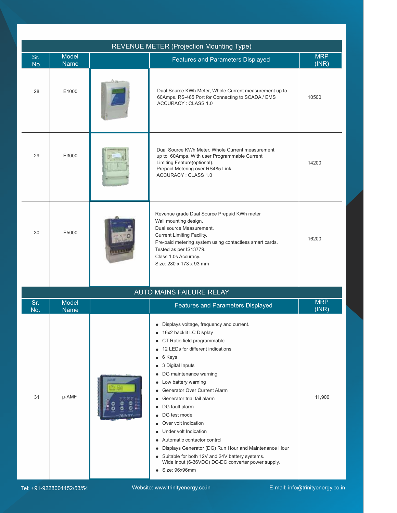|            |                             |                      | <b>REVENUE METER (Projection Mounting Type)</b>                                                                                                                                                                                                                                                                                                                                                                                                                                                                                                                                                                                                                                                                                             |                     |
|------------|-----------------------------|----------------------|---------------------------------------------------------------------------------------------------------------------------------------------------------------------------------------------------------------------------------------------------------------------------------------------------------------------------------------------------------------------------------------------------------------------------------------------------------------------------------------------------------------------------------------------------------------------------------------------------------------------------------------------------------------------------------------------------------------------------------------------|---------------------|
| Sr.<br>No. | <b>Model</b><br><b>Name</b> |                      | <b>Features and Parameters Displayed</b>                                                                                                                                                                                                                                                                                                                                                                                                                                                                                                                                                                                                                                                                                                    | <b>MRP</b><br>(INR) |
| 28         | E1000                       |                      | Dual Source KWh Meter, Whole Current measurement up to<br>60Amps. RS-485 Port for Connecting to SCADA / EMS<br><b>ACCURACY: CLASS 1.0</b>                                                                                                                                                                                                                                                                                                                                                                                                                                                                                                                                                                                                   | 10500               |
| 29         | E3000                       |                      | Dual Source KWh Meter, Whole Current measurement<br>up to 60Amps. With user Programmable Current<br>Limiting Feature(optional).<br>Prepaid Metering over RS485 Link.<br><b>ACCURACY: CLASS 1.0</b>                                                                                                                                                                                                                                                                                                                                                                                                                                                                                                                                          | 14200               |
| 30         | E5000                       |                      | Revenue grade Dual Source Prepaid KWh meter<br>Wall mounting design.<br>Dual source Measurement.<br><b>Current Limiting Facility.</b><br>Pre-paid metering system using contactless smart cards.<br>Tested as per IS13779.<br>Class 1.0s Accuracy.<br>Size: 280 x 173 x 93 mm                                                                                                                                                                                                                                                                                                                                                                                                                                                               | 16200               |
|            |                             |                      | <b>AUTO MAINS FAILURE RELAY</b>                                                                                                                                                                                                                                                                                                                                                                                                                                                                                                                                                                                                                                                                                                             |                     |
| Sr.<br>No. | <b>Model</b><br><b>Name</b> |                      | <b>Features and Parameters Displayed</b>                                                                                                                                                                                                                                                                                                                                                                                                                                                                                                                                                                                                                                                                                                    | <b>MRP</b><br>(INR) |
| 31         | µ-AMF                       | <b>JAMI</b><br>envit | • Displays voltage, frequency and current.<br>• 16x2 backlit LC Display<br>CT Ratio field programmable<br>$\bullet$<br>12 LEDs for different indications<br>6 Keys<br>$\bullet$<br>3 Digital Inputs<br>$\bullet$<br>DG maintenance warning<br>$\bullet$<br>Low battery warning<br>$\bullet$<br>Generator Over Current Alarm<br>Generator trial fail alarm<br>$\bullet$<br>DG fault alarm<br>$\bullet$<br>DG test mode<br>$\bullet$<br>Over volt indication<br>Under volt Indication<br>Automatic contactor control<br>Displays Generator (DG) Run Hour and Maintenance Hour<br>$\bullet$<br>Suitable for both 12V and 24V battery systems.<br>$\bullet$<br>Wide input (6-36VDC) DC-DC converter power supply.<br>Size: 96x96mm<br>$\bullet$ | 11,900              |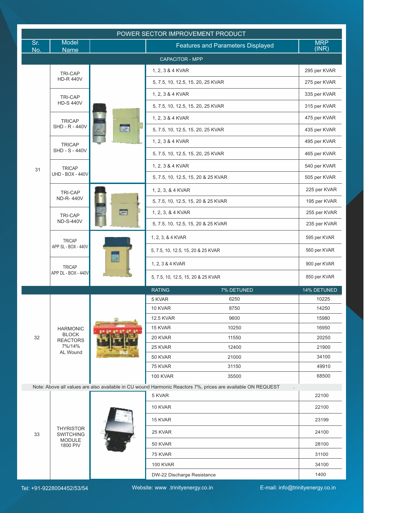| <b>Model</b><br><b>MRP</b><br>Sr.<br><b>Features and Parameters Displayed</b><br>(INR)<br>No.<br><b>Name</b><br>CAPACITOR - MPP<br>295 per KVAR<br>1, 2, 3 & 4 KVAR<br><b>TRI-CAP</b><br><b>HD-R 440V</b><br>275 per KVAR<br>5, 7.5, 10, 12.5, 15, 20, 25 KVAR<br>335 per KVAR<br>1, 2, 3 & 4 KVAR<br><b>TRI-CAP</b><br><b>HD-S 440V</b><br>5, 7.5, 10, 12.5, 15, 20, 25 KVAR<br>315 per KVAR<br>1, 2, 3 & 4 KVAR<br>475 per KVAR<br><b>TRICAP</b><br>SHD - R - 440V<br><b>REG</b><br>5, 7.5, 10, 12.5, 15, 20, 25 KVAR<br>435 per KVAR<br>495 per KVAR<br>1, 2, 3 & 4 KVAR<br><b>TRICAP</b><br><b>SHD - S - 440V</b><br>5, 7.5, 10, 12.5, 15, 20, 25 KVAR<br>465 per KVAR<br>540 per KVAR<br>1, 2, 3 & 4 KVAR<br><b>TRICAP</b><br>31<br><b>UHD - BOX - 440V</b><br>5, 7.5, 10, 12.5, 15, 20 & 25 KVAR<br>505 per KVAR<br>225 per KVAR<br>1, 2, 3, & 4 KVAR<br><b>TRI-CAP</b><br><b>ND-R-440V</b><br>195 per KVAR<br>5, 7.5, 10, 12.5, 15, 20 & 25 KVAR<br><b>Tal</b><br>1, 2, 3, & 4 KVAR<br>255 per KVAR<br>TRI-CAP<br><b>ND-S-440V</b><br>5, 7.5, 10, 12.5, 15, 20 & 25 KVAR<br>235 per KVAR<br>1, 2, 3, & 4 KVAR<br>595 per KVAR<br><b>TRICAP</b><br>APP SL - BOX - 440V<br>560 per KVAR<br>5, 7.5, 10, 12.5, 15, 20 & 25 KVAR<br>ឝ<br>900 per KVAR<br>1, 2, 3 & 4 KVAR<br><b>TRICAP</b><br>APP DL - BOX - 440V<br>850 per KVAR<br>5, 7.5, 10, 12.5, 15, 20 & 25 KVAR<br>14% DETUNED<br><b>RATING</b><br>7% DETUNED<br>5 KVAR<br>6250<br>10225<br>10 KVAR<br>8750<br>14250<br>12.5 KVAR<br>9600<br>15980<br>15 KVAR<br>10250<br>16950<br><b>HARMONIC</b><br><b>BLOCK</b><br>20 KVAR<br>11550<br>20250<br>32<br><b>REACTORS</b><br>7%/14%<br>25 KVAR<br>12400<br>21900<br>AL Wound<br>50 KVAR<br>21000<br>34100<br>75 KVAR<br>49910<br>31150<br><b>100 KVAR</b><br>35500<br>68500<br>Note: Above all values are also available in CU wound Harmonic Reactors 7%, prices are available ON REQUEST<br>5 KVAR<br>22100<br>22100<br>10 KVAR<br>15 KVAR<br>23199<br><b>THYRISTOR</b><br>24100<br>25 KVAR<br>33<br><b>SWITCHING</b><br><b>MODULE</b><br>50 KVAR<br>28100<br>1800 PIV<br>75 KVAR<br>31100<br>34100<br><b>100 KVAR</b><br>1400<br>DW-22 Discharge Resistance |  | POWER SECTOR IMPROVEMENT PRODUCT |  |
|-------------------------------------------------------------------------------------------------------------------------------------------------------------------------------------------------------------------------------------------------------------------------------------------------------------------------------------------------------------------------------------------------------------------------------------------------------------------------------------------------------------------------------------------------------------------------------------------------------------------------------------------------------------------------------------------------------------------------------------------------------------------------------------------------------------------------------------------------------------------------------------------------------------------------------------------------------------------------------------------------------------------------------------------------------------------------------------------------------------------------------------------------------------------------------------------------------------------------------------------------------------------------------------------------------------------------------------------------------------------------------------------------------------------------------------------------------------------------------------------------------------------------------------------------------------------------------------------------------------------------------------------------------------------------------------------------------------------------------------------------------------------------------------------------------------------------------------------------------------------------------------------------------------------------------------------------------------------------------------------------------------------------------------------------------------------------------------------------------------------------------------------------------------------------|--|----------------------------------|--|
|                                                                                                                                                                                                                                                                                                                                                                                                                                                                                                                                                                                                                                                                                                                                                                                                                                                                                                                                                                                                                                                                                                                                                                                                                                                                                                                                                                                                                                                                                                                                                                                                                                                                                                                                                                                                                                                                                                                                                                                                                                                                                                                                                                         |  |                                  |  |
|                                                                                                                                                                                                                                                                                                                                                                                                                                                                                                                                                                                                                                                                                                                                                                                                                                                                                                                                                                                                                                                                                                                                                                                                                                                                                                                                                                                                                                                                                                                                                                                                                                                                                                                                                                                                                                                                                                                                                                                                                                                                                                                                                                         |  |                                  |  |
|                                                                                                                                                                                                                                                                                                                                                                                                                                                                                                                                                                                                                                                                                                                                                                                                                                                                                                                                                                                                                                                                                                                                                                                                                                                                                                                                                                                                                                                                                                                                                                                                                                                                                                                                                                                                                                                                                                                                                                                                                                                                                                                                                                         |  |                                  |  |
|                                                                                                                                                                                                                                                                                                                                                                                                                                                                                                                                                                                                                                                                                                                                                                                                                                                                                                                                                                                                                                                                                                                                                                                                                                                                                                                                                                                                                                                                                                                                                                                                                                                                                                                                                                                                                                                                                                                                                                                                                                                                                                                                                                         |  |                                  |  |
|                                                                                                                                                                                                                                                                                                                                                                                                                                                                                                                                                                                                                                                                                                                                                                                                                                                                                                                                                                                                                                                                                                                                                                                                                                                                                                                                                                                                                                                                                                                                                                                                                                                                                                                                                                                                                                                                                                                                                                                                                                                                                                                                                                         |  |                                  |  |
|                                                                                                                                                                                                                                                                                                                                                                                                                                                                                                                                                                                                                                                                                                                                                                                                                                                                                                                                                                                                                                                                                                                                                                                                                                                                                                                                                                                                                                                                                                                                                                                                                                                                                                                                                                                                                                                                                                                                                                                                                                                                                                                                                                         |  |                                  |  |
|                                                                                                                                                                                                                                                                                                                                                                                                                                                                                                                                                                                                                                                                                                                                                                                                                                                                                                                                                                                                                                                                                                                                                                                                                                                                                                                                                                                                                                                                                                                                                                                                                                                                                                                                                                                                                                                                                                                                                                                                                                                                                                                                                                         |  |                                  |  |
|                                                                                                                                                                                                                                                                                                                                                                                                                                                                                                                                                                                                                                                                                                                                                                                                                                                                                                                                                                                                                                                                                                                                                                                                                                                                                                                                                                                                                                                                                                                                                                                                                                                                                                                                                                                                                                                                                                                                                                                                                                                                                                                                                                         |  |                                  |  |
|                                                                                                                                                                                                                                                                                                                                                                                                                                                                                                                                                                                                                                                                                                                                                                                                                                                                                                                                                                                                                                                                                                                                                                                                                                                                                                                                                                                                                                                                                                                                                                                                                                                                                                                                                                                                                                                                                                                                                                                                                                                                                                                                                                         |  |                                  |  |
|                                                                                                                                                                                                                                                                                                                                                                                                                                                                                                                                                                                                                                                                                                                                                                                                                                                                                                                                                                                                                                                                                                                                                                                                                                                                                                                                                                                                                                                                                                                                                                                                                                                                                                                                                                                                                                                                                                                                                                                                                                                                                                                                                                         |  |                                  |  |
|                                                                                                                                                                                                                                                                                                                                                                                                                                                                                                                                                                                                                                                                                                                                                                                                                                                                                                                                                                                                                                                                                                                                                                                                                                                                                                                                                                                                                                                                                                                                                                                                                                                                                                                                                                                                                                                                                                                                                                                                                                                                                                                                                                         |  |                                  |  |
|                                                                                                                                                                                                                                                                                                                                                                                                                                                                                                                                                                                                                                                                                                                                                                                                                                                                                                                                                                                                                                                                                                                                                                                                                                                                                                                                                                                                                                                                                                                                                                                                                                                                                                                                                                                                                                                                                                                                                                                                                                                                                                                                                                         |  |                                  |  |
|                                                                                                                                                                                                                                                                                                                                                                                                                                                                                                                                                                                                                                                                                                                                                                                                                                                                                                                                                                                                                                                                                                                                                                                                                                                                                                                                                                                                                                                                                                                                                                                                                                                                                                                                                                                                                                                                                                                                                                                                                                                                                                                                                                         |  |                                  |  |
|                                                                                                                                                                                                                                                                                                                                                                                                                                                                                                                                                                                                                                                                                                                                                                                                                                                                                                                                                                                                                                                                                                                                                                                                                                                                                                                                                                                                                                                                                                                                                                                                                                                                                                                                                                                                                                                                                                                                                                                                                                                                                                                                                                         |  |                                  |  |
|                                                                                                                                                                                                                                                                                                                                                                                                                                                                                                                                                                                                                                                                                                                                                                                                                                                                                                                                                                                                                                                                                                                                                                                                                                                                                                                                                                                                                                                                                                                                                                                                                                                                                                                                                                                                                                                                                                                                                                                                                                                                                                                                                                         |  |                                  |  |
|                                                                                                                                                                                                                                                                                                                                                                                                                                                                                                                                                                                                                                                                                                                                                                                                                                                                                                                                                                                                                                                                                                                                                                                                                                                                                                                                                                                                                                                                                                                                                                                                                                                                                                                                                                                                                                                                                                                                                                                                                                                                                                                                                                         |  |                                  |  |
|                                                                                                                                                                                                                                                                                                                                                                                                                                                                                                                                                                                                                                                                                                                                                                                                                                                                                                                                                                                                                                                                                                                                                                                                                                                                                                                                                                                                                                                                                                                                                                                                                                                                                                                                                                                                                                                                                                                                                                                                                                                                                                                                                                         |  |                                  |  |
|                                                                                                                                                                                                                                                                                                                                                                                                                                                                                                                                                                                                                                                                                                                                                                                                                                                                                                                                                                                                                                                                                                                                                                                                                                                                                                                                                                                                                                                                                                                                                                                                                                                                                                                                                                                                                                                                                                                                                                                                                                                                                                                                                                         |  |                                  |  |
|                                                                                                                                                                                                                                                                                                                                                                                                                                                                                                                                                                                                                                                                                                                                                                                                                                                                                                                                                                                                                                                                                                                                                                                                                                                                                                                                                                                                                                                                                                                                                                                                                                                                                                                                                                                                                                                                                                                                                                                                                                                                                                                                                                         |  |                                  |  |
|                                                                                                                                                                                                                                                                                                                                                                                                                                                                                                                                                                                                                                                                                                                                                                                                                                                                                                                                                                                                                                                                                                                                                                                                                                                                                                                                                                                                                                                                                                                                                                                                                                                                                                                                                                                                                                                                                                                                                                                                                                                                                                                                                                         |  |                                  |  |
|                                                                                                                                                                                                                                                                                                                                                                                                                                                                                                                                                                                                                                                                                                                                                                                                                                                                                                                                                                                                                                                                                                                                                                                                                                                                                                                                                                                                                                                                                                                                                                                                                                                                                                                                                                                                                                                                                                                                                                                                                                                                                                                                                                         |  |                                  |  |
|                                                                                                                                                                                                                                                                                                                                                                                                                                                                                                                                                                                                                                                                                                                                                                                                                                                                                                                                                                                                                                                                                                                                                                                                                                                                                                                                                                                                                                                                                                                                                                                                                                                                                                                                                                                                                                                                                                                                                                                                                                                                                                                                                                         |  |                                  |  |
|                                                                                                                                                                                                                                                                                                                                                                                                                                                                                                                                                                                                                                                                                                                                                                                                                                                                                                                                                                                                                                                                                                                                                                                                                                                                                                                                                                                                                                                                                                                                                                                                                                                                                                                                                                                                                                                                                                                                                                                                                                                                                                                                                                         |  |                                  |  |
|                                                                                                                                                                                                                                                                                                                                                                                                                                                                                                                                                                                                                                                                                                                                                                                                                                                                                                                                                                                                                                                                                                                                                                                                                                                                                                                                                                                                                                                                                                                                                                                                                                                                                                                                                                                                                                                                                                                                                                                                                                                                                                                                                                         |  |                                  |  |
|                                                                                                                                                                                                                                                                                                                                                                                                                                                                                                                                                                                                                                                                                                                                                                                                                                                                                                                                                                                                                                                                                                                                                                                                                                                                                                                                                                                                                                                                                                                                                                                                                                                                                                                                                                                                                                                                                                                                                                                                                                                                                                                                                                         |  |                                  |  |
|                                                                                                                                                                                                                                                                                                                                                                                                                                                                                                                                                                                                                                                                                                                                                                                                                                                                                                                                                                                                                                                                                                                                                                                                                                                                                                                                                                                                                                                                                                                                                                                                                                                                                                                                                                                                                                                                                                                                                                                                                                                                                                                                                                         |  |                                  |  |
|                                                                                                                                                                                                                                                                                                                                                                                                                                                                                                                                                                                                                                                                                                                                                                                                                                                                                                                                                                                                                                                                                                                                                                                                                                                                                                                                                                                                                                                                                                                                                                                                                                                                                                                                                                                                                                                                                                                                                                                                                                                                                                                                                                         |  |                                  |  |
|                                                                                                                                                                                                                                                                                                                                                                                                                                                                                                                                                                                                                                                                                                                                                                                                                                                                                                                                                                                                                                                                                                                                                                                                                                                                                                                                                                                                                                                                                                                                                                                                                                                                                                                                                                                                                                                                                                                                                                                                                                                                                                                                                                         |  |                                  |  |
|                                                                                                                                                                                                                                                                                                                                                                                                                                                                                                                                                                                                                                                                                                                                                                                                                                                                                                                                                                                                                                                                                                                                                                                                                                                                                                                                                                                                                                                                                                                                                                                                                                                                                                                                                                                                                                                                                                                                                                                                                                                                                                                                                                         |  |                                  |  |
|                                                                                                                                                                                                                                                                                                                                                                                                                                                                                                                                                                                                                                                                                                                                                                                                                                                                                                                                                                                                                                                                                                                                                                                                                                                                                                                                                                                                                                                                                                                                                                                                                                                                                                                                                                                                                                                                                                                                                                                                                                                                                                                                                                         |  |                                  |  |
|                                                                                                                                                                                                                                                                                                                                                                                                                                                                                                                                                                                                                                                                                                                                                                                                                                                                                                                                                                                                                                                                                                                                                                                                                                                                                                                                                                                                                                                                                                                                                                                                                                                                                                                                                                                                                                                                                                                                                                                                                                                                                                                                                                         |  |                                  |  |
|                                                                                                                                                                                                                                                                                                                                                                                                                                                                                                                                                                                                                                                                                                                                                                                                                                                                                                                                                                                                                                                                                                                                                                                                                                                                                                                                                                                                                                                                                                                                                                                                                                                                                                                                                                                                                                                                                                                                                                                                                                                                                                                                                                         |  |                                  |  |
|                                                                                                                                                                                                                                                                                                                                                                                                                                                                                                                                                                                                                                                                                                                                                                                                                                                                                                                                                                                                                                                                                                                                                                                                                                                                                                                                                                                                                                                                                                                                                                                                                                                                                                                                                                                                                                                                                                                                                                                                                                                                                                                                                                         |  |                                  |  |
|                                                                                                                                                                                                                                                                                                                                                                                                                                                                                                                                                                                                                                                                                                                                                                                                                                                                                                                                                                                                                                                                                                                                                                                                                                                                                                                                                                                                                                                                                                                                                                                                                                                                                                                                                                                                                                                                                                                                                                                                                                                                                                                                                                         |  |                                  |  |
|                                                                                                                                                                                                                                                                                                                                                                                                                                                                                                                                                                                                                                                                                                                                                                                                                                                                                                                                                                                                                                                                                                                                                                                                                                                                                                                                                                                                                                                                                                                                                                                                                                                                                                                                                                                                                                                                                                                                                                                                                                                                                                                                                                         |  |                                  |  |
|                                                                                                                                                                                                                                                                                                                                                                                                                                                                                                                                                                                                                                                                                                                                                                                                                                                                                                                                                                                                                                                                                                                                                                                                                                                                                                                                                                                                                                                                                                                                                                                                                                                                                                                                                                                                                                                                                                                                                                                                                                                                                                                                                                         |  |                                  |  |
|                                                                                                                                                                                                                                                                                                                                                                                                                                                                                                                                                                                                                                                                                                                                                                                                                                                                                                                                                                                                                                                                                                                                                                                                                                                                                                                                                                                                                                                                                                                                                                                                                                                                                                                                                                                                                                                                                                                                                                                                                                                                                                                                                                         |  |                                  |  |
|                                                                                                                                                                                                                                                                                                                                                                                                                                                                                                                                                                                                                                                                                                                                                                                                                                                                                                                                                                                                                                                                                                                                                                                                                                                                                                                                                                                                                                                                                                                                                                                                                                                                                                                                                                                                                                                                                                                                                                                                                                                                                                                                                                         |  |                                  |  |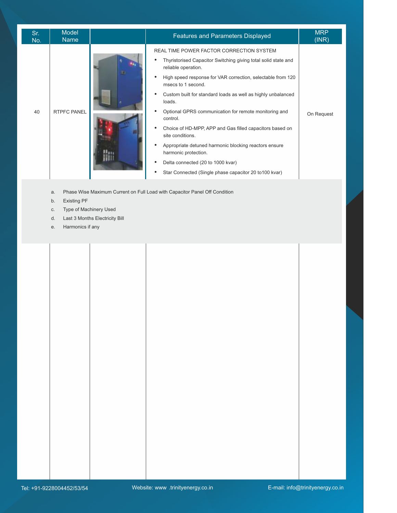| Sr.<br>No. | <b>Model</b><br><b>Name</b> |   | <b>Features and Parameters Displayed</b>                                                                                                                                                                                                                                                                                                                                                                                                                                                                                                                                                                                              | <b>MRP</b><br>(INR) |
|------------|-----------------------------|---|---------------------------------------------------------------------------------------------------------------------------------------------------------------------------------------------------------------------------------------------------------------------------------------------------------------------------------------------------------------------------------------------------------------------------------------------------------------------------------------------------------------------------------------------------------------------------------------------------------------------------------------|---------------------|
| 40         | <b>RTPFC PANEL</b>          | ٠ | REAL TIME POWER FACTOR CORRECTION SYSTEM<br>Thyristorised Capacitor Switching giving total solid state and<br>reliable operation.<br>High speed response for VAR correction, selectable from 120<br>msecs to 1 second.<br>Custom built for standard loads as well as highly unbalanced<br>loads.<br>Optional GPRS communication for remote monitoring and<br>control.<br>Choice of HD-MPP, APP and Gas filled capacitors based on<br>site conditions.<br>Appropriate detuned harmonic blocking reactors ensure<br>harmonic protection.<br>Delta connected (20 to 1000 kvar)<br>Star Connected (Single phase capacitor 20 to 100 kvar) | On Request          |

- a. Phase Wise Maximum Current on Full Load with Capacitor Panel Off Condition
- b. Existing PF

I

- c. Type of Machinery Used
- d. Last 3 Months Electricity Bill
- e. Harmonics if any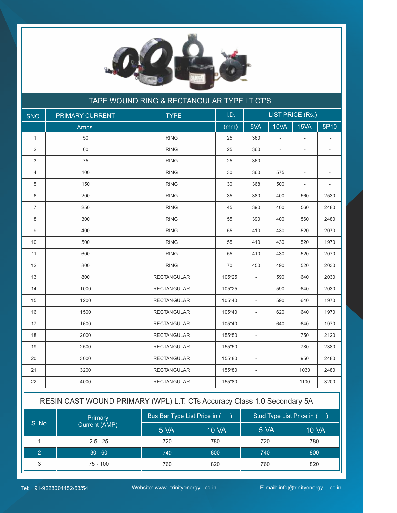

|                | TAPE WOUND RING & RECTANGULAR TYPE LT CT'S |                    |        |                          |                          |                          |                          |
|----------------|--------------------------------------------|--------------------|--------|--------------------------|--------------------------|--------------------------|--------------------------|
| <b>SNO</b>     | PRIMARY CURRENT                            | <b>TYPE</b>        | I.D.   |                          |                          | <b>LIST PRICE (Rs.)</b>  |                          |
|                | Amps                                       |                    | (mm)   | 5VA                      | 10VA                     | 15VA                     | 5P10                     |
| $\mathbf{1}$   | 50                                         | <b>RING</b>        | 25     | 360                      | $\overline{\phantom{a}}$ |                          |                          |
| 2              | 60                                         | <b>RING</b>        | 25     | 360                      | $\overline{\phantom{a}}$ | $\overline{\phantom{a}}$ | $\overline{\phantom{a}}$ |
| 3              | 75                                         | <b>RING</b>        | 25     | 360                      | $\overline{\phantom{a}}$ | $\overline{\phantom{a}}$ |                          |
| 4              | 100                                        | <b>RING</b>        | 30     | 360                      | 575                      | $\overline{\phantom{a}}$ | $\overline{\phantom{m}}$ |
| 5              | 150                                        | <b>RING</b>        | 30     | 368                      | 500                      | $\overline{\phantom{a}}$ | $\overline{\phantom{a}}$ |
| 6              | 200                                        | <b>RING</b>        | 35     | 380                      | 400                      | 560                      | 2530                     |
| $\overline{7}$ | 250                                        | <b>RING</b>        | 45     | 390                      | 400                      | 560                      | 2480                     |
| 8              | 300                                        | <b>RING</b>        | 55     | 390                      | 400                      | 560                      | 2480                     |
| 9              | 400                                        | <b>RING</b>        | 55     | 410                      | 430                      | 520                      | 2070                     |
| 10             | 500                                        | <b>RING</b>        | 55     | 410                      | 430                      | 520                      | 1970                     |
| 11             | 600                                        | <b>RING</b>        | 55     | 410                      | 430                      | 520                      | 2070                     |
| 12             | 800                                        | <b>RING</b>        | 70     | 450                      | 490                      | 520                      | 2030                     |
| 13             | 800                                        | <b>RECTANGULAR</b> | 105*25 | $\overline{a}$           | 590                      | 640                      | 2030                     |
| 14             | 1000                                       | <b>RECTANGULAR</b> | 105*25 | $\blacksquare$           | 590                      | 640                      | 2030                     |
| 15             | 1200                                       | <b>RECTANGULAR</b> | 105*40 | $\overline{\phantom{a}}$ | 590                      | 640                      | 1970                     |
| 16             | 1500                                       | <b>RECTANGULAR</b> | 105*40 | $\overline{\phantom{a}}$ | 620                      | 640                      | 1970                     |
| 17             | 1600                                       | <b>RECTANGULAR</b> | 105*40 | $\overline{a}$           | 640                      | 640                      | 1970                     |
| 18             | 2000                                       | <b>RECTANGULAR</b> | 155*50 | $\overline{\phantom{a}}$ |                          | 750                      | 2120                     |
| 19             | 2500                                       | <b>RECTANGULAR</b> | 155*50 | $\blacksquare$           |                          | 780                      | 2380                     |
| 20             | 3000                                       | <b>RECTANGULAR</b> | 155*80 | $\blacksquare$           |                          | 950                      | 2480                     |
| 21             | 3200                                       | <b>RECTANGULAR</b> | 155*80 | $\overline{\phantom{a}}$ |                          | 1030                     | 2480                     |
| 22             | 4000                                       | <b>RECTANGULAR</b> | 155*80 | $\overline{\phantom{a}}$ |                          | 1100                     | 3200                     |
|                |                                            |                    |        |                          |                          |                          |                          |

| RESIN CAST WOUND PRIMARY (WPL) L.T. CTs Accuracy Class 1.0 Secondary 5A |               |                              |       |                            |              |
|-------------------------------------------------------------------------|---------------|------------------------------|-------|----------------------------|--------------|
|                                                                         | Primary       | Bus Bar Type List Price in ( |       | Stud Type List Price in () |              |
| S. No.                                                                  | Current (AMP) | 5 VA                         | 10 VA | 5 VA                       | <b>10 VA</b> |
|                                                                         | $2.5 - 25$    | 720                          | 780   | 720                        | 780          |
|                                                                         | $30 - 60$     | 740                          | 800   | 740                        | 800          |
|                                                                         | $75 - 100$    | 760                          | 820   | 760                        | 820          |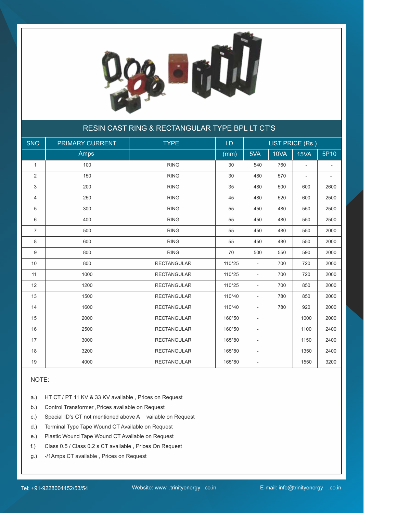

#### RESIN CAST RING & RECTANGULAR TYPE BPL LT CT'S

| <b>SNO</b>     | PRIMARY CURRENT | <b>TYPE</b>        | I.D.   |                          | <b>LIST PRICE (Rs)</b> |                          |      |
|----------------|-----------------|--------------------|--------|--------------------------|------------------------|--------------------------|------|
|                | Amps            |                    | (mm)   | 5VA                      | 10VA                   | 15VA                     | 5P10 |
| $\mathbf{1}$   | 100             | <b>RING</b>        | 30     | 540                      | 760                    | $\overline{a}$           |      |
| 2              | 150             | <b>RING</b>        | 30     | 480                      | 570                    | $\overline{\phantom{a}}$ |      |
| 3              | 200             | <b>RING</b>        | 35     | 480                      | 500                    | 600                      | 2600 |
| $\overline{4}$ | 250             | <b>RING</b>        | 45     | 480                      | 520                    | 600                      | 2500 |
| 5              | 300             | <b>RING</b>        | 55     | 450                      | 480                    | 550                      | 2500 |
| 6              | 400             | <b>RING</b>        | 55     | 450                      | 480                    | 550                      | 2500 |
| $\overline{7}$ | 500             | <b>RING</b>        | 55     | 450                      | 480                    | 550                      | 2000 |
| 8              | 600             | <b>RING</b>        | 55     | 450                      | 480                    | 550                      | 2000 |
| 9              | 800             | <b>RING</b>        | 70     | 500                      | 550                    | 590                      | 2000 |
| 10             | 800             | <b>RECTANGULAR</b> | 110*25 | $\overline{\phantom{a}}$ | 700                    | 720                      | 2000 |
| 11             | 1000            | <b>RECTANGULAR</b> | 110*25 | $\overline{\phantom{a}}$ | 700                    | 720                      | 2000 |
| 12             | 1200            | <b>RECTANGULAR</b> | 110*25 | $\overline{\phantom{a}}$ | 700                    | 850                      | 2000 |
| 13             | 1500            | <b>RECTANGULAR</b> | 110*40 | $\overline{\phantom{a}}$ | 780                    | 850                      | 2000 |
| 14             | 1600            | <b>RECTANGULAR</b> | 110*40 | $\overline{a}$           | 780                    | 920                      | 2000 |
| 15             | 2000            | <b>RECTANGULAR</b> | 160*50 | $\overline{\phantom{a}}$ |                        | 1000                     | 2000 |
| 16             | 2500            | <b>RECTANGULAR</b> | 160*50 | $\overline{\phantom{a}}$ |                        | 1100                     | 2400 |
| 17             | 3000            | <b>RECTANGULAR</b> | 165*80 | $\overline{\phantom{a}}$ |                        | 1150                     | 2400 |
| 18             | 3200            | <b>RECTANGULAR</b> | 165*80 | $\overline{\phantom{a}}$ |                        | 1350                     | 2400 |
| 19             | 4000            | <b>RECTANGULAR</b> | 165*80 | $\overline{\phantom{a}}$ |                        | 1550                     | 3200 |

#### NOTE:

- a.) HT CT / PT 11 KV & 33 KV available , Prices on Request
- b.) Control Transformer ,Prices available on Request
- c.) Special ID's CT not mentioned above A vailable on Request
- d.) Terminal Type Tape Wound CT Available on Request
- e.) Plastic Wound Tape Wound CT Available on Request
- f.) Class 0.5 / Class 0.2 s CT available , Prices On Request
- g.) -/1Amps CT available , Prices on Request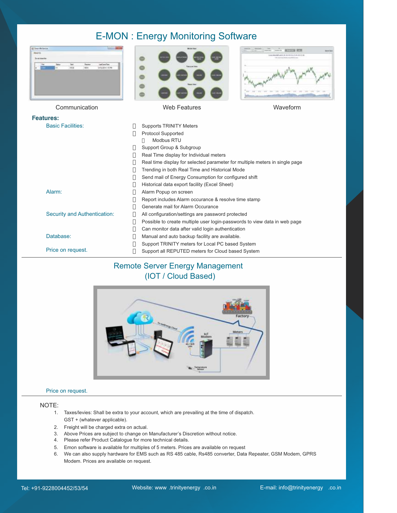#### E-MON : Energy Monitoring Software



#### Remote Server Energy Management (IOT / Cloud Based)



#### Price on request.

#### NOTE:

- 1. Taxes/levies: Shall be extra to your account, which are prevailing at the time of dispatch. GST + (whatever applicable).
- 2. Freight will be charged extra on actual.
- 3. Above Prices are subject to change on Manufacturer's Discretion without notice.
- 4. Please refer Product Catalogue for more technical details.
- 5. Emon software is available for multiples of 5 meters. Prices are available on request
- 6. We can also supply hardware for EMS such as RS 485 cable, Rs485 converter, Data Repeater, GSM Modem, GPRS Modem. Prices are available on request.